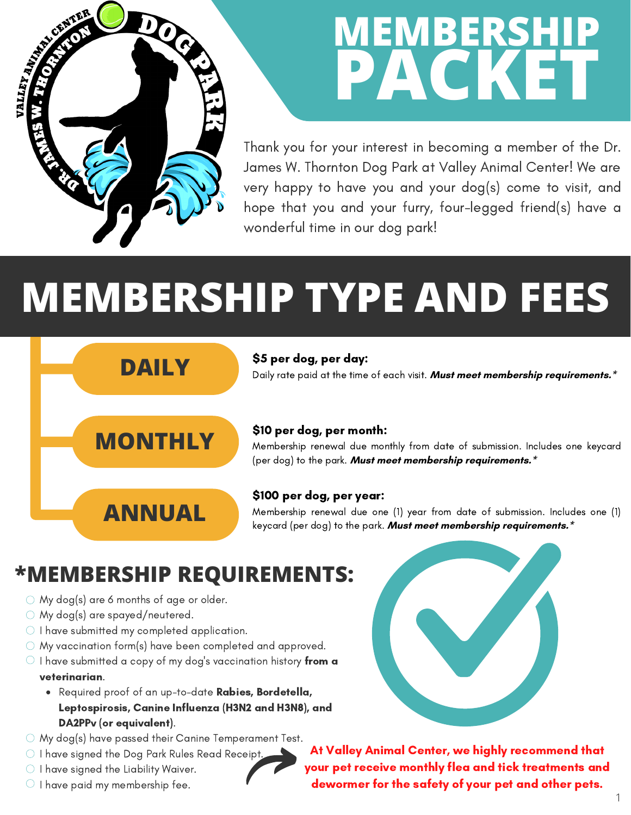

## **MEMBERSHIP PACKET**

Thank you for your interest in becoming a member of the Dr. James W. Thornton Dog Park at Valley Animal Center! We are very happy to have you and your dog(s) come to visit, and hope that you and your furry, four-legged friend(s) have a wonderful time in our dog park!

# **MEMBERSHIP TYPE AND FEES**

#### \$5 per dog, per day:

Daily rate paid at the time of each visit. **Must meet membership requirements.\***

### **MONTHLY**

**ANNUAL**

**DAILY**

#### \$10 per dog, per month:

Membership renewal due monthly from date of submission. Includes one keycard (per dog) to the park. **Must meet membership requirements.\***

#### \$100 per dog, per year:

Membership renewal due one (1) year from date of submission. Includes one (1) keycard (per dog) to the park. **Must meet membership requirements.\***

### **\*MEMBERSHIP REQUIREMENTS:**

- $\circ$  My dog(s) are 6 months of age or older.
- My dog(s) are spayed/neutered.
- $\bigcirc$  I have submitted my completed application.
- My vaccination form(s) have been completed and approved.
- $\circlearrowright$  I have submitted a copy of my dog's vaccination history from a veterinarian.
	- Required proof of an up-to-date Rabies, Bordetella, Leptospirosis, Canine Influenza (H3N2 and H3N8), and DA2PPv (or equivalent).
- $\circlearrowright$  My dog(s) have passed their Canine Temperament Test.
- $\circlearrowright$  I have signed the Dog Park Rules Read Receipt.
- $\bigcirc$  I have signed the Liability Waiver.
- $\circlearrowright$  I have paid my membership fee.

At Valley Animal Center, we highly recommend that your pet receive monthly flea and tick treatments and dewormer for the safety of your pet and other pets.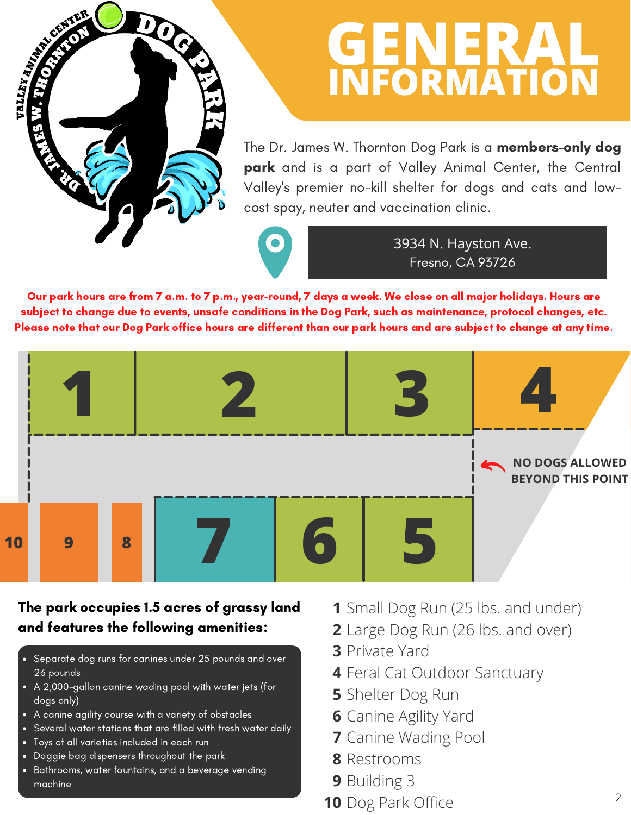### **GENERAL INFORMATION**

The Dr. James W. Thornton Dog Park is a **members-only dog** park and is a part of Valley Animal Center, the Central Valley's premier no-kill shelter for dogs and cats and lowcost spay, neuter and vaccination clinic.



3934 N. Hayston Ave. Fresno, CA 93726

Our park hours are from 7 a.m. to 7 p.m., year-round, 7 days a week. We close on all major holidays. Hours are subject to change due to events, unsafe conditions in the Dog Park, such as maintenance, protocol changes, etc. Please note that our Dog Park office hours are different than our park hours and are subject to change at any time.



### The park occupies 1.5 acres of grassy land and features the following amenities:

- Separate dog runs for canines under 25 pounds and over 26 pounds
- A 2,000-gallon canine wading pool with water jets (for dogs only)
- A canine agility course with a variety of obstacles
- Several water stations that are filled with fresh water daily
- Toys of all varieties included in each run

VALLEY AVI

- Doggie bag dispensers throughout the park
- Bathrooms, water fountains, and a beverage vending machine
- **1** Small Dog Run (25 lbs. and under)
- **2** Large Dog Run (26 lbs. and over)
- **3** Private Yard
- **4** Feral Cat Outdoor Sanctuary
- **5** Shelter Dog Run
- **6** Canine Agility Yard
- **7** Canine Wading Pool
- **8** Restrooms
- **9** Building 3
- **10** Dog Park Office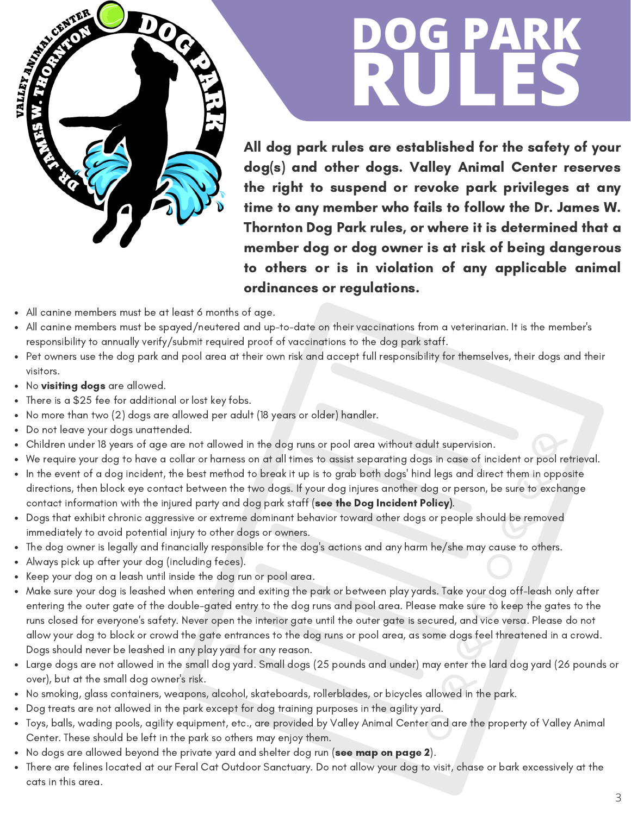

# **DOG PARK RULES**

All dog park rules are established for the safety of your dog(s) and other dogs. Valley Animal Center reserves the right to suspend or revoke park privileges at any time to any member who fails to follow the Dr. James W. Thornton Dog Park rules, or where it is determined that a member dog or dog owner is at risk of being dangerous to others or is in violation of any applicable animal ordinances or regulations.

- All canine members must be at least 6 months of age.
- All canine members must be spayed/neutered and up-to-date on their vaccinations from a veterinarian. It is the member's responsibility to annually verify/submit required proof of vaccinations to the dog park staff.
- Pet owners use the dog park and pool area at their own risk and accept full responsibility for themselves, their dogs and their visitors.
- No visiting dogs are allowed.
- There is a \$25 fee for additional or lost key fobs.  $\bullet$
- No more than two (2) dogs are allowed per adult (18 years or older) handler.
- Do not leave your dogs unattended.
- Children under 18 years of age are not allowed in the dog runs or pool area without adult supervision.
- We require your dog to have a collar or harness on at all times to assist separating dogs in case of incident or pool retrieval.
- In the event of a dog incident, the best method to break it up is to grab both dogs' hind legs and direct them in opposite directions, then block eye contact between the two dogs. If your dog injures another dog or person, be sure to exchange contact information with the injured party and dog park staff (see the Dog Incident Policy).
- Dogs that exhibit chronic aggressive or extreme dominant behavior toward other dogs or people should be removed immediately to avoid potential injury to other dogs or owners.
- The dog owner is legally and financially responsible for the dog's actions and any harm he/she may cause to others.
- Always pick up after your dog (including feces).  $\bullet$
- Keep your dog on a leash until inside the dog run or pool area.
- Make sure your dog is leashed when entering and exiting the park or between play yards. Take your dog off-leash only after entering the outer gate of the double-gated entry to the dog runs and pool area. Please make sure to keep the gates to the runs closed for everyone's safety. Never open the interior gate until the outer gate is secured, and vice versa. Please do not allow your dog to block or crowd the gate entrances to the dog runs or pool area, as some dogs feel threatened in a crowd. Dogs should never be leashed in any play yard for any reason.
- Large dogs are not allowed in the small dog yard. Small dogs (25 pounds and under) may enter the lard dog yard (26 pounds or over), but at the small dog owner's risk.
- No smoking, glass containers, weapons, alcohol, skateboards, rollerblades, or bicycles allowed in the park.
- Dog treats are not allowed in the park except for dog training purposes in the agility yard.  $\bullet$
- Toys, balls, wading pools, agility equipment, etc., are provided by Valley Animal Center and are the property of Valley Animal Center. These should be left in the park so others may enjoy them.
- No dogs are allowed beyond the private yard and shelter dog run (see map on page 2).
- There are felines located at our Feral Cat Outdoor Sanctuary. Do not allow your dog to visit, chase or bark excessively at the cats in this area.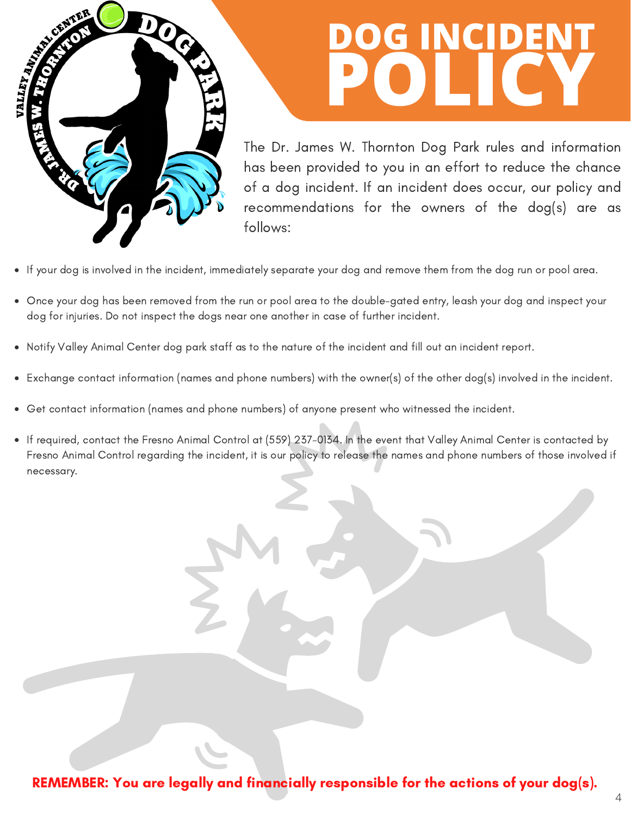

## **DOG INCIDENT POLICY**

The Dr. James W. Thornton Dog Park rules and information has been provided to you in an effort to reduce the chance of a dog incident. If an incident does occur, our policy and recommendations for the owners of the dog(s) are as follows:

- If your dog is involved in the incident, immediately separate your dog and remove them from the dog run or pool area.
- Once your dog has been removed from the run or pool area to the double-gated entry, leash your dog and inspect your dog for injuries. Do not inspect the dogs near one another in case of further incident.
- Notify Valley Animal Center dog park staff as to the nature of the incident and fill out an incident report.  $\bullet$
- Exchange contact information (names and phone numbers) with the owner(s) of the other dog(s) involved in the incident.  $\bullet$
- Get contact information (names and phone numbers) of anyone present who witnessed the incident.
- If required, contact the Fresno Animal Control at (559) 237-0134. In the event that Valley Animal Center is contacted by Fresno Animal Control regarding the incident, it is our policy to release the names and phone numbers of those involved if necessary.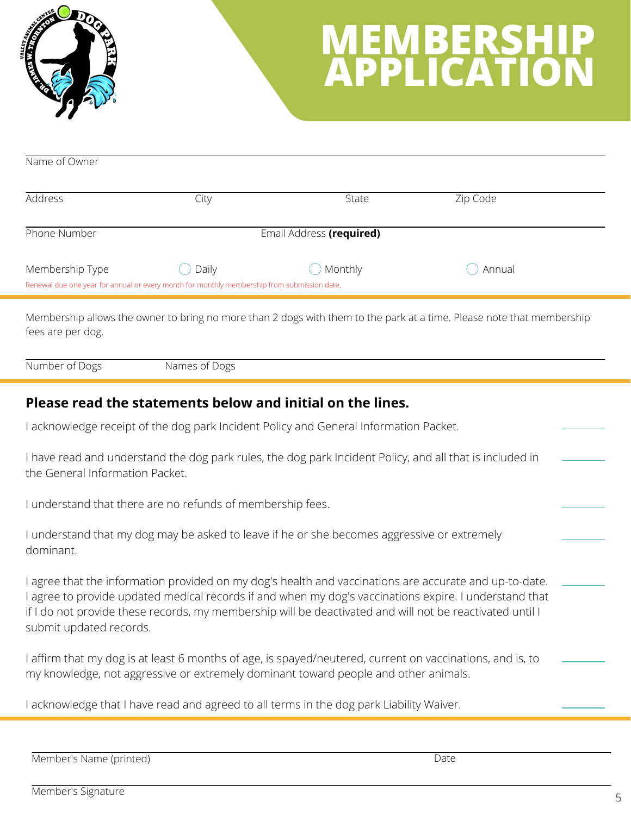

### **MEMBERSHIP APPLICATION**

| Name of Owner   |                                                                                             |                          |          |  |
|-----------------|---------------------------------------------------------------------------------------------|--------------------------|----------|--|
| Address         |                                                                                             |                          |          |  |
|                 | City                                                                                        | State                    | Zip Code |  |
| Phone Number    |                                                                                             | Email Address (required) |          |  |
| Membership Type | Daily                                                                                       | Monthly                  | Annual   |  |
|                 | Renewal due one year for annual or every month for monthly membership from submission date. |                          |          |  |

Membership allows the owner to bring no more than 2 dogs with them to the park at a time. Please note that membership fees are per dog.

Number of Dogs Names of Dogs

#### **Please read the statements below and initial on the lines.**

I acknowledge receipt of the dog park Incident Policy and General Information Packet.

I have read and understand the dog park rules, the dog park Incident Policy, and all that is included in the General Information Packet.

I understand that there are no refunds of membership fees.

I understand that my dog may be asked to leave if he or she becomes aggressive or extremely dominant.

I agree that the information provided on my dog's health and vaccinations are accurate and up-to-date. I agree to provide updated medical records if and when my dog's vaccinations expire. I understand that if I do not provide these records, my membership will be deactivated and will not be reactivated until I submit updated records.

I affirm that my dog is at least 6 months of age, is spayed/neutered, current on vaccinations, and is, to my knowledge, not aggressive or extremely dominant toward people and other animals.

I acknowledge that I have read and agreed to all terms in the dog park Liability Waiver.

Member's Name (printed) Date

Member's Signature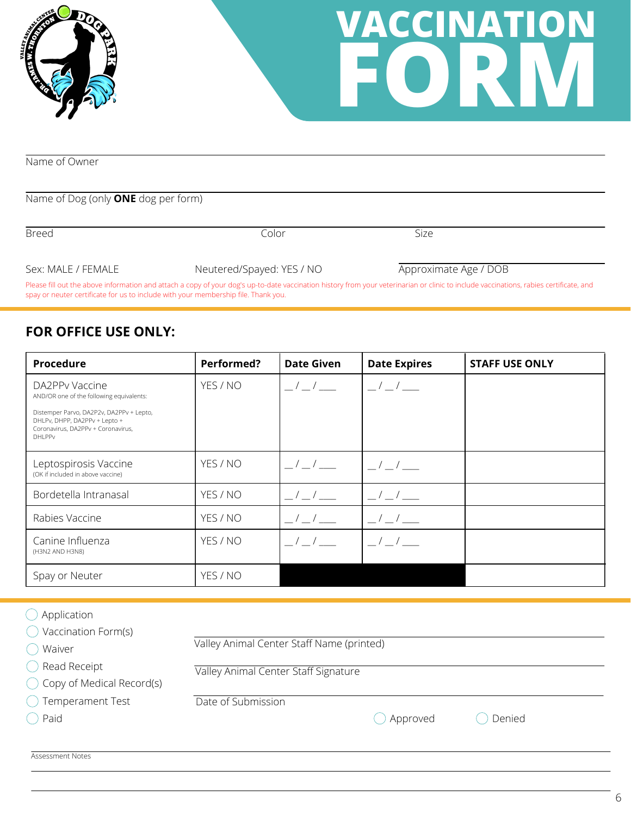



Name of Owner

#### Name of Dog (only **ONE** dog per form)

| <b>Breed</b>       | Color                     | Size                  |  |
|--------------------|---------------------------|-----------------------|--|
|                    |                           |                       |  |
| Sex: MALE / FEMALE | Neutered/Spayed: YES / NO | Approximate Age / DOB |  |

Please fill out the above information and attach a copy of your dog's up-to-date vaccination history from your veterinarian or clinic to include vaccinations, rabies certificate, and spay or neuter certificate for us to include with your membership file. Thank you.

#### **FOR OFFICE USE ONLY:**

| Procedure                                                                                                                        | Performed? | <b>Date Given</b>                             | <b>Date Expires</b>                            | <b>STAFF USE ONLY</b> |
|----------------------------------------------------------------------------------------------------------------------------------|------------|-----------------------------------------------|------------------------------------------------|-----------------------|
| DA2PPy Vaccine<br>AND/OR one of the following equivalents:                                                                       | YES / NO   | $\frac{1}{2}$                                 | $\frac{1}{2}$                                  |                       |
| Distemper Parvo, DA2P2v, DA2PPv + Lepto,<br>DHLPv, DHPP, DA2PPv + Lepto +<br>Coronavirus, DA2PPv + Coronavirus,<br><b>DHLPPv</b> |            |                                               |                                                |                       |
| Leptospirosis Vaccine<br>(OK if included in above vaccine)                                                                       | YES / NO   | $\frac{\mu}{\mu}$ / $\frac{\mu}{\mu}$         | $\frac{1}{2}$                                  |                       |
| Bordetella Intranasal                                                                                                            | YES / NO   | $\frac{1}{2}$                                 | $\frac{1}{2}$                                  |                       |
| Rabies Vaccine                                                                                                                   | YES / NO   | $\left  \begin{array}{c} \end{array} \right $ |                                                |                       |
| Canine Influenza<br>(H3N2 AND H3N8)                                                                                              | YES / NO   | $\left  \begin{array}{c} \end{array} \right $ | $\left  \begin{array}{cc} \end{array} \right $ |                       |
| Spay or Neuter                                                                                                                   | YES / NO   |                                               |                                                |                       |

| Application<br>Vaccination Form(s) |                                           |
|------------------------------------|-------------------------------------------|
|                                    | Valley Animal Center Staff Name (printed) |
| () Waiver                          |                                           |
| $\bigcirc$ Read Receipt            | Valley Animal Center Staff Signature      |
| ◯ Copy of Medical Record(s)        |                                           |
| ◯ Temperament Test                 | Date of Submission                        |
| $\bigcirc$ Paid                    | Approved<br>Denied                        |
|                                    |                                           |
| Assessment Notes                   |                                           |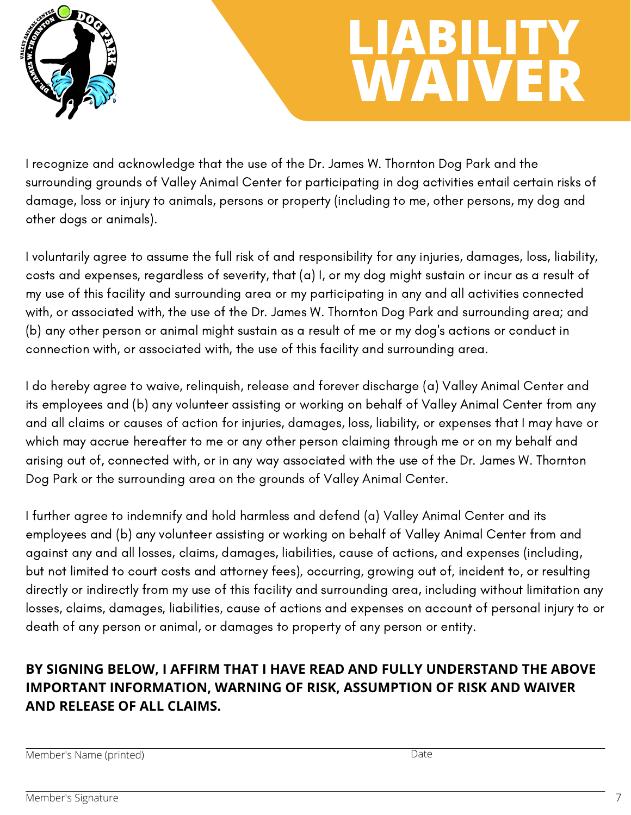

### **LIABILITY WAIVER**

I recognize and acknowledge that the use of the Dr. James W. Thornton Dog Park and the surrounding grounds of Valley Animal Center for participating in dog activities entail certain risks of damage, loss or injury to animals, persons or property (including to me, other persons, my dog and other dogs or animals).

I voluntarily agree to assume the full risk of and responsibility for any injuries, damages, loss, liability, costs and expenses, regardless of severity, that (a) I, or my dog might sustain or incur as a result of my use of this facility and surrounding area or my participating in any and all activities connected with, or associated with, the use of the Dr. James W. Thornton Dog Park and surrounding area; and (b) any other person or animal might sustain as a result of me or my dog's actions or conduct in connection with, or associated with, the use of this facility and surrounding area.

I do hereby agree to waive, relinquish, release and forever discharge (a) Valley Animal Center and its employees and (b) any volunteer assisting or working on behalf of Valley Animal Center from any and all claims or causes of action for injuries, damages, loss, liability, or expenses that I may have or which may accrue hereafter to me or any other person claiming through me or on my behalf and arising out of, connected with, or in any way associated with the use of the Dr. James W. Thornton Dog Park or the surrounding area on the grounds of Valley Animal Center.

I further agree to indemnify and hold harmless and defend (a) Valley Animal Center and its employees and (b) any volunteer assisting or working on behalf of Valley Animal Center from and against any and all losses, claims, damages, liabilities, cause of actions, and expenses (including, but not limited to court costs and attorney fees), occurring, growing out of, incident to, or resulting directly or indirectly from my use of this facility and surrounding area, including without limitation any losses, claims, damages, liabilities, cause of actions and expenses on account of personal injury to or death of any person or animal, or damages to property of any person or entity.

### **BY SIGNING BELOW, I AFFIRM THAT I HAVE READ AND FULLY UNDERSTAND THE ABOVE IMPORTANT INFORMATION, WARNING OF RISK, ASSUMPTION OF RISK AND WAIVER AND RELEASE OF ALL CLAIMS.**

Member's Name (printed) Date